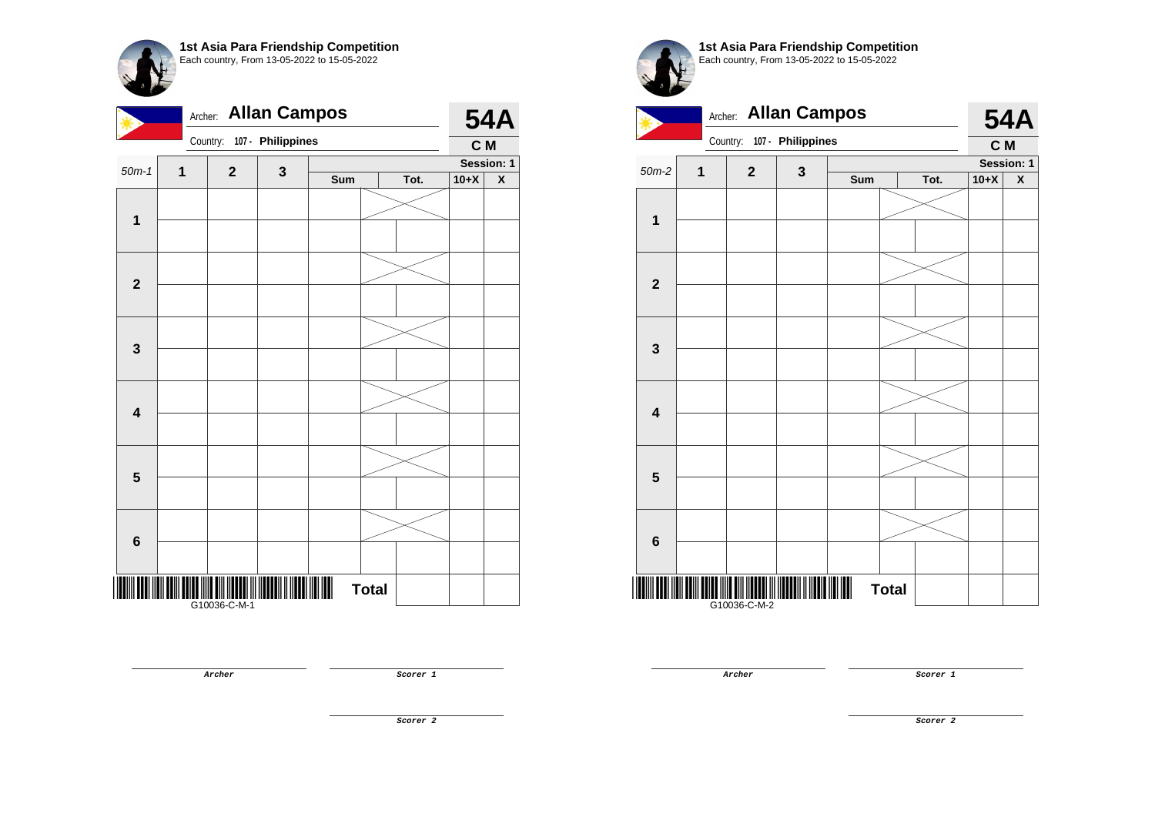|                         | <b>Allan Campos</b><br>Archer: |              |                   |     |              |      |        |                         |
|-------------------------|--------------------------------|--------------|-------------------|-----|--------------|------|--------|-------------------------|
|                         |                                | Country:     | 107 - Philippines |     |              |      | C M    |                         |
| $50m-1$                 | 1                              | $\mathbf 2$  | 3                 |     |              |      |        | Session: 1              |
|                         |                                |              |                   | Sum |              | Tot. | $10+X$ | $\overline{\textbf{X}}$ |
|                         |                                |              |                   |     |              |      |        |                         |
| $\mathbf{1}$            |                                |              |                   |     |              |      |        |                         |
|                         |                                |              |                   |     |              |      |        |                         |
|                         |                                |              |                   |     |              |      |        |                         |
| $\mathbf{2}$            |                                |              |                   |     |              |      |        |                         |
|                         |                                |              |                   |     |              |      |        |                         |
|                         |                                |              |                   |     |              |      |        |                         |
| $\mathbf{3}$            |                                |              |                   |     |              |      |        |                         |
|                         |                                |              |                   |     |              |      |        |                         |
|                         |                                |              |                   |     |              |      |        |                         |
|                         |                                |              |                   |     |              |      |        |                         |
| $\overline{\mathbf{4}}$ |                                |              |                   |     |              |      |        |                         |
|                         |                                |              |                   |     |              |      |        |                         |
|                         |                                |              |                   |     |              |      |        |                         |
| $\overline{\mathbf{5}}$ |                                |              |                   |     |              |      |        |                         |
|                         |                                |              |                   |     |              |      |        |                         |
|                         |                                |              |                   |     |              |      |        |                         |
| $\bf 6$                 |                                |              |                   |     |              |      |        |                         |
|                         |                                |              |                   |     |              |      |        |                         |
|                         |                                |              |                   |     |              |      |        |                         |
|                         |                                |              |                   |     | <b>Total</b> |      |        |                         |
|                         |                                | G10036-C-M-1 |                   |     |              |      |        |                         |

**1st Asia Para Friendship Competition** Each country, From 13-05-2022 to 15-05-2022



**Archer Scorer 1** 

**Scorer 2**

**Archer Scorer 1**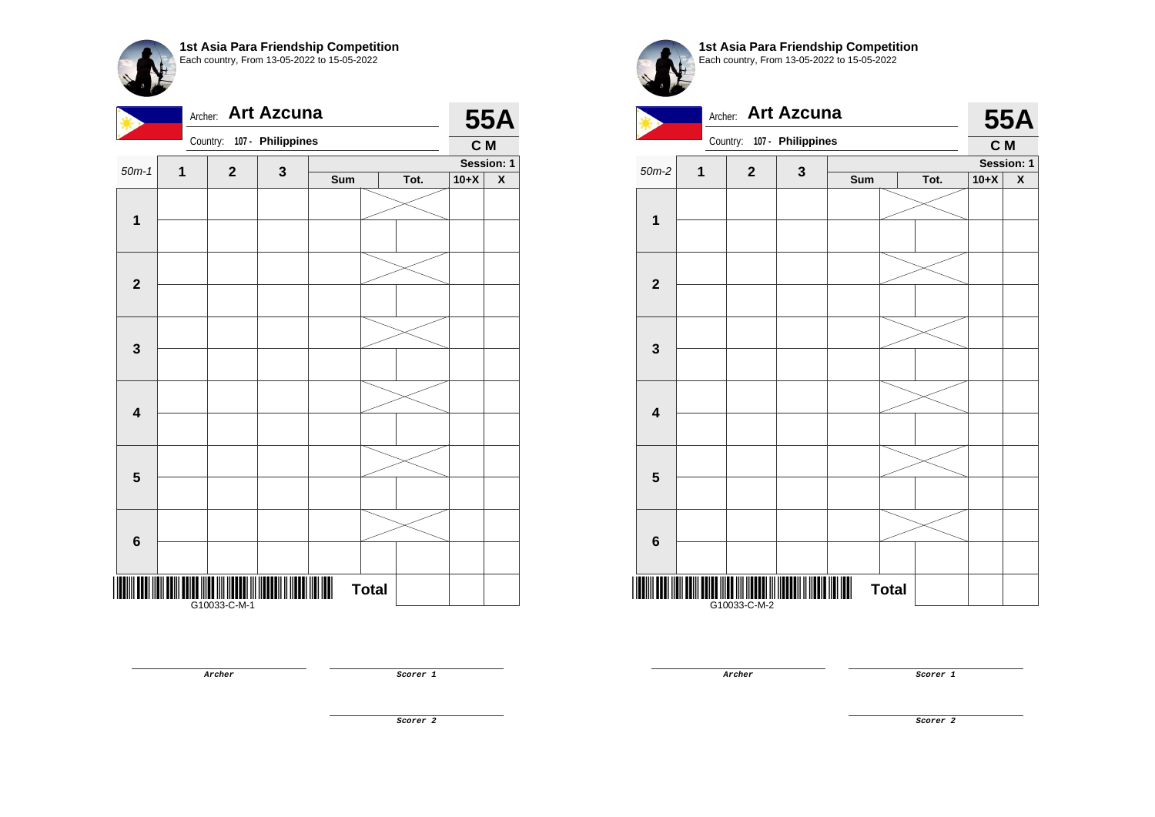| <b>Art Azcuna</b><br>Archer: |              |              |                   |     |              |      |        | <b>55A</b> |  |
|------------------------------|--------------|--------------|-------------------|-----|--------------|------|--------|------------|--|
|                              |              | Country:     | 107 - Philippines |     |              |      | C M    |            |  |
| $50m-1$                      | $\mathbf{1}$ | $\mathbf{2}$ | $\mathbf{3}$      |     |              |      |        | Session: 1 |  |
|                              |              |              |                   | Sum |              | Tot. | $10+X$ | X          |  |
| $\mathbf{1}$                 |              |              |                   |     |              |      |        |            |  |
|                              |              |              |                   |     |              |      |        |            |  |
| $\mathbf{2}$                 |              |              |                   |     |              |      |        |            |  |
| $\mathbf 3$                  |              |              |                   |     |              |      |        |            |  |
| $\overline{\mathbf{4}}$      |              |              |                   |     |              |      |        |            |  |
| 5                            |              |              |                   |     |              |      |        |            |  |
|                              |              |              |                   |     |              |      |        |            |  |
| $6\phantom{1}6$              |              |              |                   |     |              |      |        |            |  |
|                              |              |              |                   |     | <b>Total</b> |      |        |            |  |

**1st Asia Para Friendship Competition** Each country, From 13-05-2022 to 15-05-2022



**Archer Scorer 1** 

**Archer Scorer 1** 

**Scorer 2**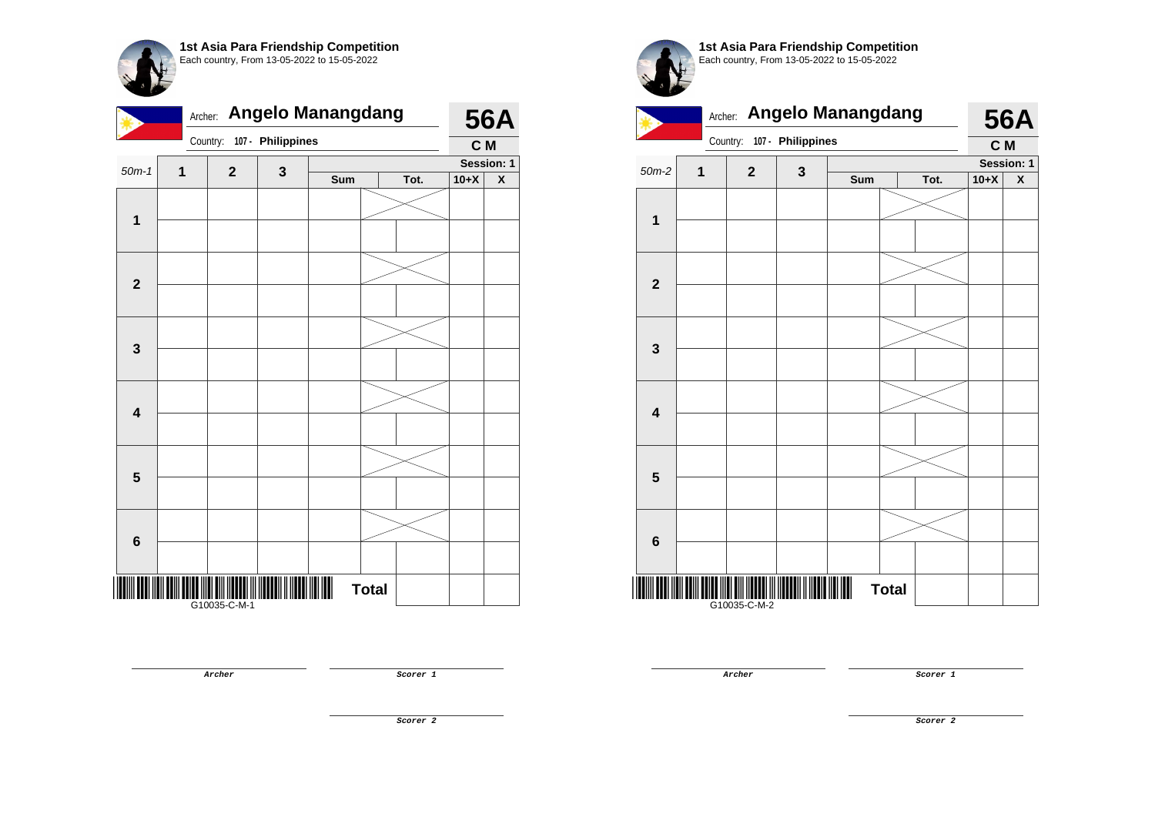|                         | <b>Angelo Manangdang</b><br>Archer: |              |                   |     |              |      |        |                         |
|-------------------------|-------------------------------------|--------------|-------------------|-----|--------------|------|--------|-------------------------|
|                         |                                     | Country:     | 107 - Philippines |     |              |      | C M    |                         |
| $50m-1$                 | 1                                   | $\mathbf 2$  | 3                 |     |              |      |        | Session: 1              |
|                         |                                     |              |                   | Sum |              | Tot. | $10+X$ | $\overline{\textbf{X}}$ |
|                         |                                     |              |                   |     |              |      |        |                         |
| $\mathbf{1}$            |                                     |              |                   |     |              |      |        |                         |
|                         |                                     |              |                   |     |              |      |        |                         |
|                         |                                     |              |                   |     |              |      |        |                         |
| $\mathbf{2}$            |                                     |              |                   |     |              |      |        |                         |
|                         |                                     |              |                   |     |              |      |        |                         |
|                         |                                     |              |                   |     |              |      |        |                         |
|                         |                                     |              |                   |     |              |      |        |                         |
| $\mathbf{3}$            |                                     |              |                   |     |              |      |        |                         |
|                         |                                     |              |                   |     |              |      |        |                         |
|                         |                                     |              |                   |     |              |      |        |                         |
| $\overline{\mathbf{4}}$ |                                     |              |                   |     |              |      |        |                         |
|                         |                                     |              |                   |     |              |      |        |                         |
|                         |                                     |              |                   |     |              |      |        |                         |
| $\overline{\mathbf{5}}$ |                                     |              |                   |     |              |      |        |                         |
|                         |                                     |              |                   |     |              |      |        |                         |
|                         |                                     |              |                   |     |              |      |        |                         |
|                         |                                     |              |                   |     |              |      |        |                         |
| 6                       |                                     |              |                   |     |              |      |        |                         |
|                         |                                     |              |                   |     |              |      |        |                         |
|                         |                                     |              |                   |     | <b>Total</b> |      |        |                         |
|                         |                                     | G10035-C-M-1 |                   |     |              |      |        |                         |

**Archer Scorer 1** 

**1st Asia Para Friendship Competition** Each country, From 13-05-2022 to 15-05-2022 Archer: **Angelo Manangdang** 



**Archer Scorer 1** 

**Scorer 2**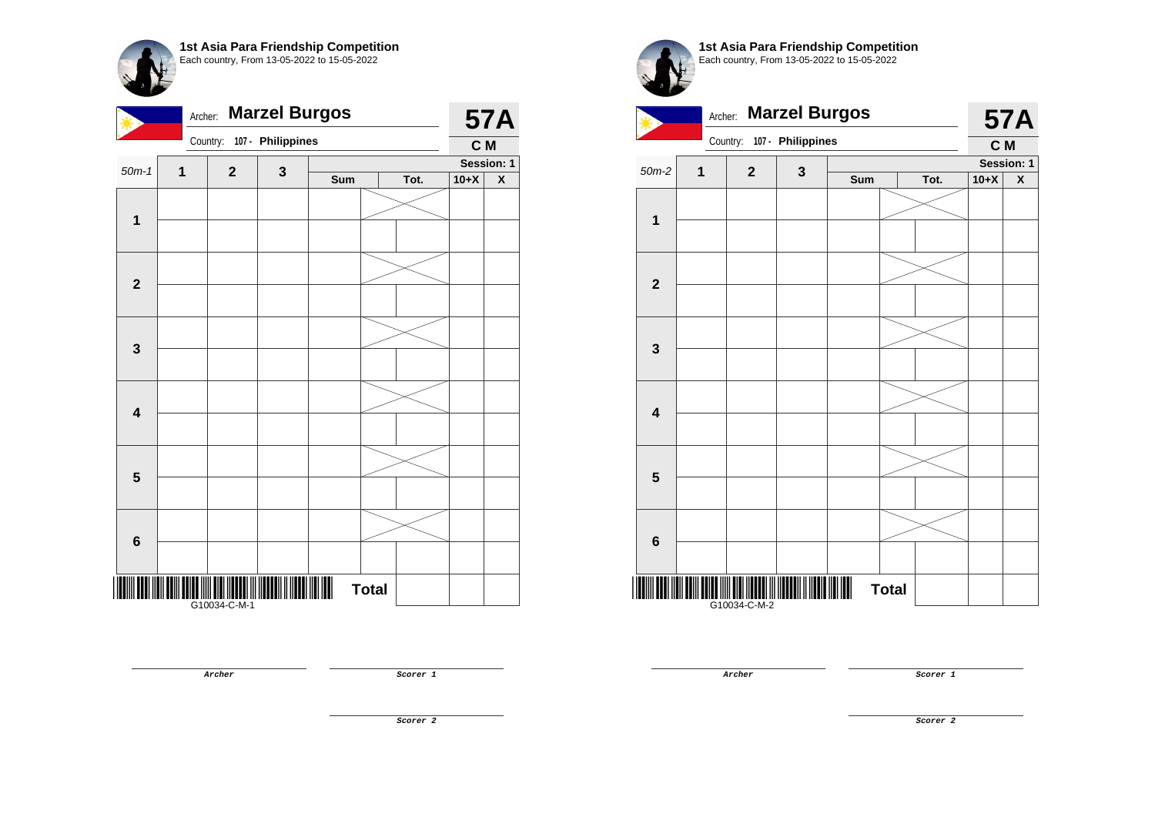| <b>Marzel Burgos</b><br>Archer: |   |              |                            |     |              |      | <b>57A</b> |            |
|---------------------------------|---|--------------|----------------------------|-----|--------------|------|------------|------------|
|                                 |   |              | Country: 107 - Philippines |     |              |      | C M        |            |
| $50m-1$                         | 1 | $\mathbf{2}$ |                            |     |              |      |            | Session: 1 |
|                                 |   |              | 3                          | Sum |              | Tot. | $10+X$     | X          |
| $\mathbf{1}$                    |   |              |                            |     |              |      |            |            |
|                                 |   |              |                            |     |              |      |            |            |
| $\overline{\mathbf{2}}$         |   |              |                            |     |              |      |            |            |
|                                 |   |              |                            |     |              |      |            |            |
|                                 |   |              |                            |     |              |      |            |            |
| 3                               |   |              |                            |     |              |      |            |            |
|                                 |   |              |                            |     |              |      |            |            |
| $\overline{\mathbf{4}}$         |   |              |                            |     |              |      |            |            |
|                                 |   |              |                            |     |              |      |            |            |
| $\overline{\mathbf{5}}$         |   |              |                            |     |              |      |            |            |
|                                 |   |              |                            |     |              |      |            |            |
| $6\phantom{1}6$                 |   |              |                            |     |              |      |            |            |
|                                 |   | G10034-C-M-1 |                            |     | <b>Total</b> |      |            |            |

**1st Asia Para Friendship Competition** Each country, From 13-05-2022 to 15-05-2022



**Archer Scorer 1** 

**Scorer 2**

**Archer Scorer 1**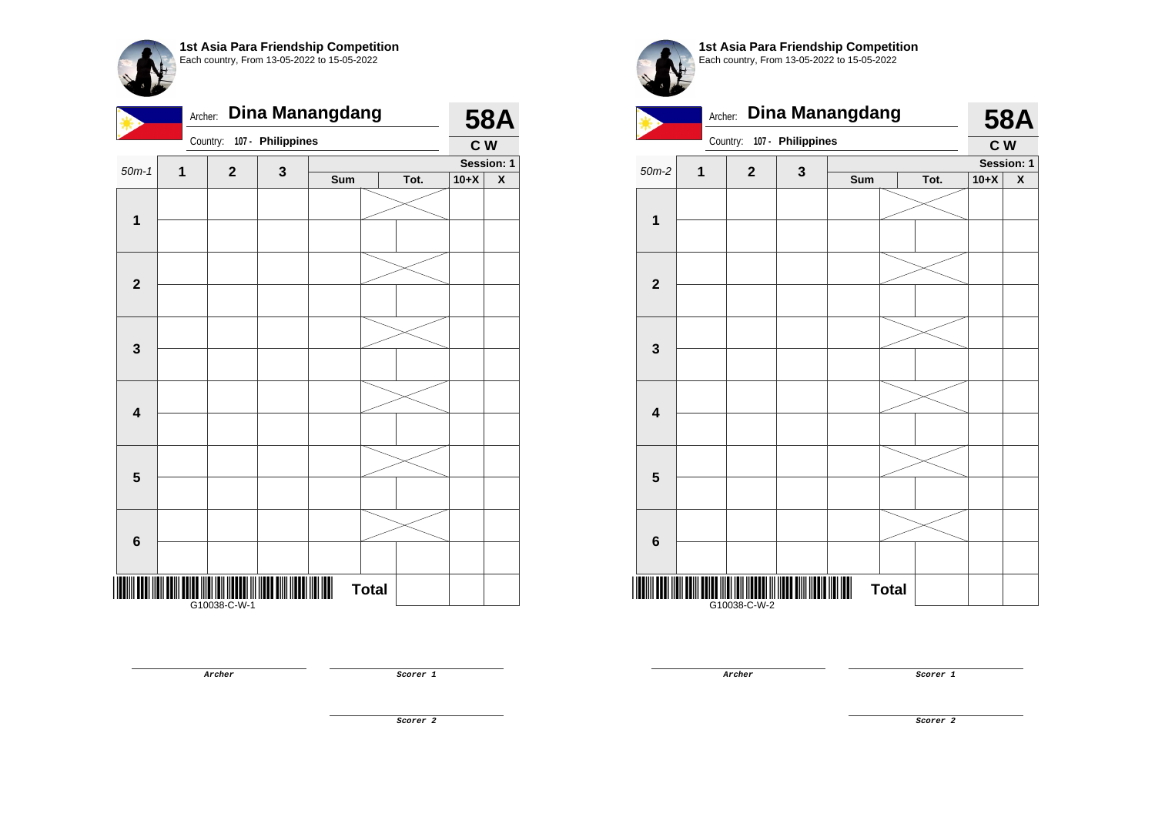|                         | <b>Dina Manangdang</b><br>Archer: |                   |                   |     |              |      |        |                    |
|-------------------------|-----------------------------------|-------------------|-------------------|-----|--------------|------|--------|--------------------|
|                         |                                   | Country:          | 107 - Philippines |     |              |      | C W    |                    |
| $50m-1$                 | 1                                 | $\mathbf{2}$      | 3                 |     |              |      |        | Session: 1         |
|                         |                                   |                   |                   | Sum |              | Tot. | $10+X$ | $\pmb{\mathsf{X}}$ |
|                         |                                   |                   |                   |     |              |      |        |                    |
| $\mathbf{1}$            |                                   |                   |                   |     |              |      |        |                    |
|                         |                                   |                   |                   |     |              |      |        |                    |
|                         |                                   |                   |                   |     |              |      |        |                    |
| $\mathbf{2}$            |                                   |                   |                   |     |              |      |        |                    |
|                         |                                   |                   |                   |     |              |      |        |                    |
|                         |                                   |                   |                   |     |              |      |        |                    |
| $\mathbf{3}$            |                                   |                   |                   |     |              |      |        |                    |
|                         |                                   |                   |                   |     |              |      |        |                    |
|                         |                                   |                   |                   |     |              |      |        |                    |
| $\overline{\mathbf{4}}$ |                                   |                   |                   |     |              |      |        |                    |
|                         |                                   |                   |                   |     |              |      |        |                    |
|                         |                                   |                   |                   |     |              |      |        |                    |
|                         |                                   |                   |                   |     |              |      |        |                    |
| $\overline{\mathbf{5}}$ |                                   |                   |                   |     |              |      |        |                    |
|                         |                                   |                   |                   |     |              |      |        |                    |
|                         |                                   |                   |                   |     |              |      |        |                    |
| $6\phantom{1}$          |                                   |                   |                   |     |              |      |        |                    |
|                         |                                   |                   |                   |     |              |      |        |                    |
|                         |                                   |                   |                   |     | <b>Total</b> |      |        |                    |
|                         |                                   | <br> G10038-C-W-1 |                   |     |              |      |        |                    |



**1st Asia Para Friendship Competition** Each country, From 13-05-2022 to 15-05-2022



**Archer Scorer 1** 

**Archer Scorer 1** 

**Scorer 2**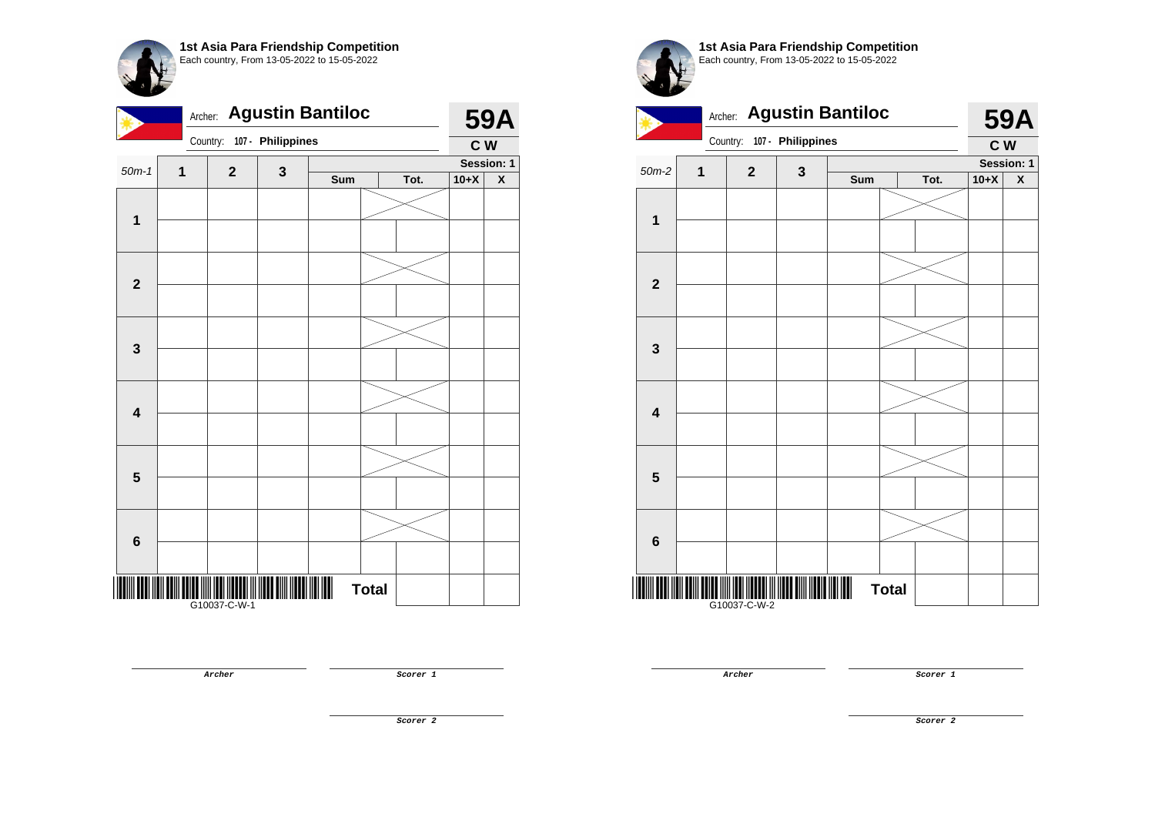| <b>Agustin Bantiloc</b><br>Archer: |              |                |                   |     |              |      |        | <b>59A</b>              |  |
|------------------------------------|--------------|----------------|-------------------|-----|--------------|------|--------|-------------------------|--|
|                                    |              | Country:       | 107 - Philippines |     |              |      | C W    |                         |  |
| $50m-1$                            | 1            | $\overline{2}$ | $\mathbf 3$       |     |              |      |        | Session: 1              |  |
|                                    |              |                |                   | Sum |              | Tot. | $10+X$ | $\overline{\textbf{X}}$ |  |
|                                    |              |                |                   |     |              |      |        |                         |  |
| 1                                  |              |                |                   |     |              |      |        |                         |  |
|                                    |              |                |                   |     |              |      |        |                         |  |
|                                    |              |                |                   |     |              |      |        |                         |  |
| $\mathbf{2}$                       |              |                |                   |     |              |      |        |                         |  |
|                                    |              |                |                   |     |              |      |        |                         |  |
|                                    |              |                |                   |     |              |      |        |                         |  |
|                                    |              |                |                   |     |              |      |        |                         |  |
| 3                                  |              |                |                   |     |              |      |        |                         |  |
|                                    |              |                |                   |     |              |      |        |                         |  |
|                                    |              |                |                   |     |              |      |        |                         |  |
| $\overline{\mathbf{4}}$            |              |                |                   |     |              |      |        |                         |  |
|                                    |              |                |                   |     |              |      |        |                         |  |
|                                    |              |                |                   |     |              |      |        |                         |  |
| 5                                  |              |                |                   |     |              |      |        |                         |  |
|                                    |              |                |                   |     |              |      |        |                         |  |
|                                    |              |                |                   |     |              |      |        |                         |  |
|                                    |              |                |                   |     |              |      |        |                         |  |
| $6\phantom{1}$                     |              |                |                   |     |              |      |        |                         |  |
|                                    |              |                |                   |     |              |      |        |                         |  |
|                                    |              |                |                   |     | <b>Total</b> |      |        |                         |  |
|                                    | 610037-C-W-1 |                |                   |     |              |      |        |                         |  |

**Archer Scorer 1** 

**1st Asia Para Friendship Competition** Each country, From 13-05-2022 to 15-05-2022



**Archer Scorer 1**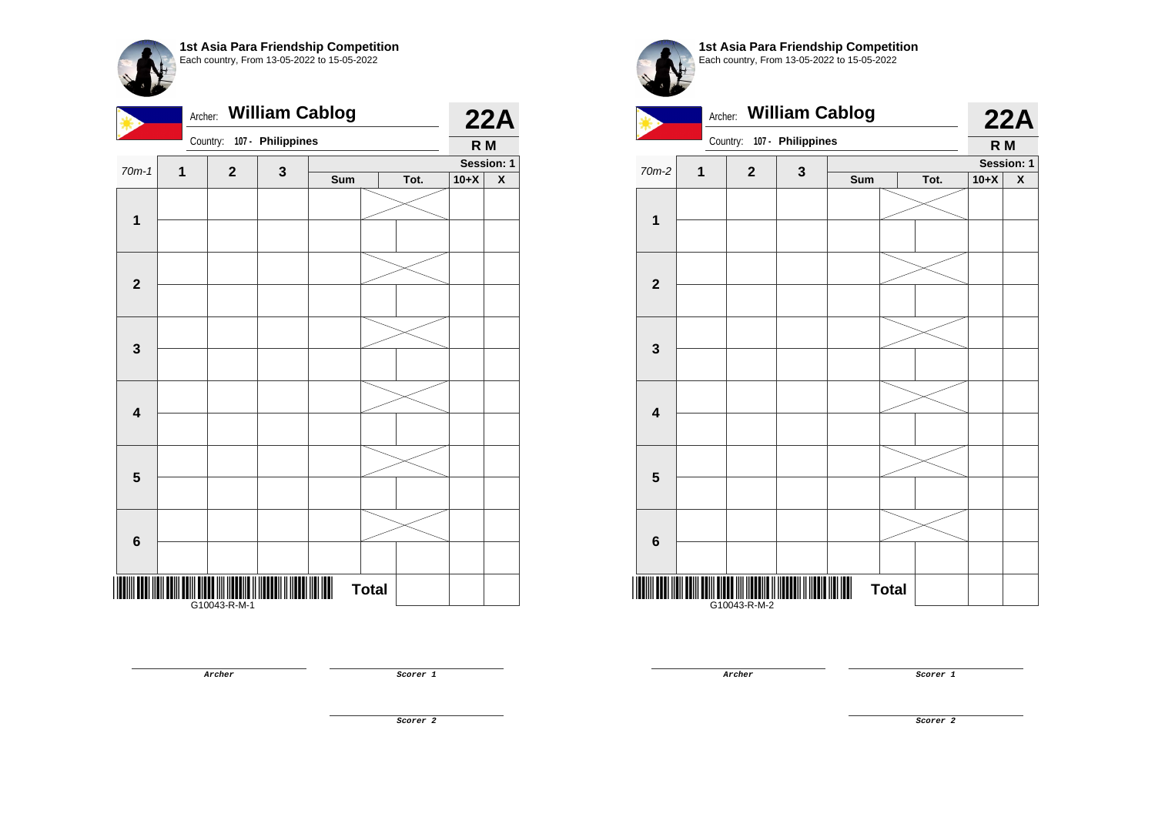|                         | <b>William Cablog</b><br>Archer: |              |                   |     |              |      |        |                         |
|-------------------------|----------------------------------|--------------|-------------------|-----|--------------|------|--------|-------------------------|
|                         |                                  | Country:     | 107 - Philippines |     |              |      | R M    |                         |
| $70m-1$                 | 1                                | $\mathbf 2$  | 3                 |     |              |      |        | Session: 1              |
|                         |                                  |              |                   | Sum |              | Tot. | $10+X$ | $\overline{\textbf{X}}$ |
|                         |                                  |              |                   |     |              |      |        |                         |
| $\mathbf{1}$            |                                  |              |                   |     |              |      |        |                         |
|                         |                                  |              |                   |     |              |      |        |                         |
|                         |                                  |              |                   |     |              |      |        |                         |
| $\mathbf{2}$            |                                  |              |                   |     |              |      |        |                         |
|                         |                                  |              |                   |     |              |      |        |                         |
|                         |                                  |              |                   |     |              |      |        |                         |
| $\mathbf{3}$            |                                  |              |                   |     |              |      |        |                         |
|                         |                                  |              |                   |     |              |      |        |                         |
|                         |                                  |              |                   |     |              |      |        |                         |
|                         |                                  |              |                   |     |              |      |        |                         |
| $\overline{\mathbf{4}}$ |                                  |              |                   |     |              |      |        |                         |
|                         |                                  |              |                   |     |              |      |        |                         |
|                         |                                  |              |                   |     |              |      |        |                         |
| $\overline{\mathbf{5}}$ |                                  |              |                   |     |              |      |        |                         |
|                         |                                  |              |                   |     |              |      |        |                         |
|                         |                                  |              |                   |     |              |      |        |                         |
| 6                       |                                  |              |                   |     |              |      |        |                         |
|                         |                                  |              |                   |     |              |      |        |                         |
|                         |                                  |              |                   |     |              |      |        |                         |
|                         |                                  |              |                   |     | <b>Total</b> |      |        |                         |
|                         |                                  | G10043-R-M-1 |                   |     |              |      |        |                         |

**1st Asia Para Friendship Competition** Each country, From 13-05-2022 to 15-05-2022



**Archer Scorer 1** 

**Archer Scorer 1** 

**Scorer 2**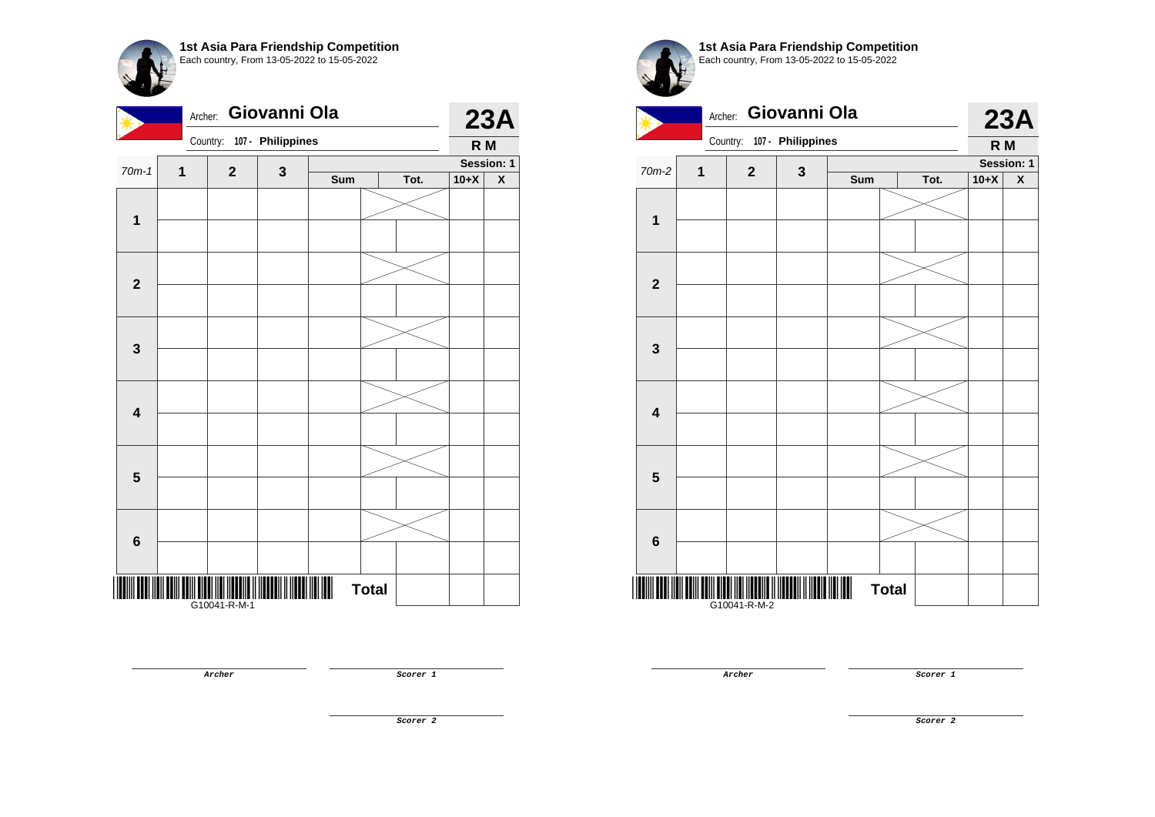| Country: 107 - Philippines<br>R <sub>M</sub><br>Session: 1<br>$70m-1$<br>$\mathbf{2}$<br>3<br>1<br>$10+X$<br>Sum<br>Tot.<br>$\mathbf{1}$<br>$\overline{\mathbf{2}}$<br>$\mathbf{3}$<br>$\overline{\mathbf{4}}$<br>5<br>$\bf 6$ | Archer: Giovanni Ola |  |  |  |  |  |  |  | 23A |  |
|--------------------------------------------------------------------------------------------------------------------------------------------------------------------------------------------------------------------------------|----------------------|--|--|--|--|--|--|--|-----|--|
|                                                                                                                                                                                                                                |                      |  |  |  |  |  |  |  |     |  |
|                                                                                                                                                                                                                                |                      |  |  |  |  |  |  |  |     |  |
|                                                                                                                                                                                                                                |                      |  |  |  |  |  |  |  | X   |  |
|                                                                                                                                                                                                                                |                      |  |  |  |  |  |  |  |     |  |
|                                                                                                                                                                                                                                |                      |  |  |  |  |  |  |  |     |  |
|                                                                                                                                                                                                                                |                      |  |  |  |  |  |  |  |     |  |
|                                                                                                                                                                                                                                |                      |  |  |  |  |  |  |  |     |  |
|                                                                                                                                                                                                                                |                      |  |  |  |  |  |  |  |     |  |
|                                                                                                                                                                                                                                |                      |  |  |  |  |  |  |  |     |  |
|                                                                                                                                                                                                                                |                      |  |  |  |  |  |  |  |     |  |
| <b>Total</b>                                                                                                                                                                                                                   |                      |  |  |  |  |  |  |  |     |  |



**1st Asia Para Friendship Competition** Each country, From 13-05-2022 to 15-05-2022



**Archer Scorer 1** 

**Archer Scorer 1** 

**Scorer 2**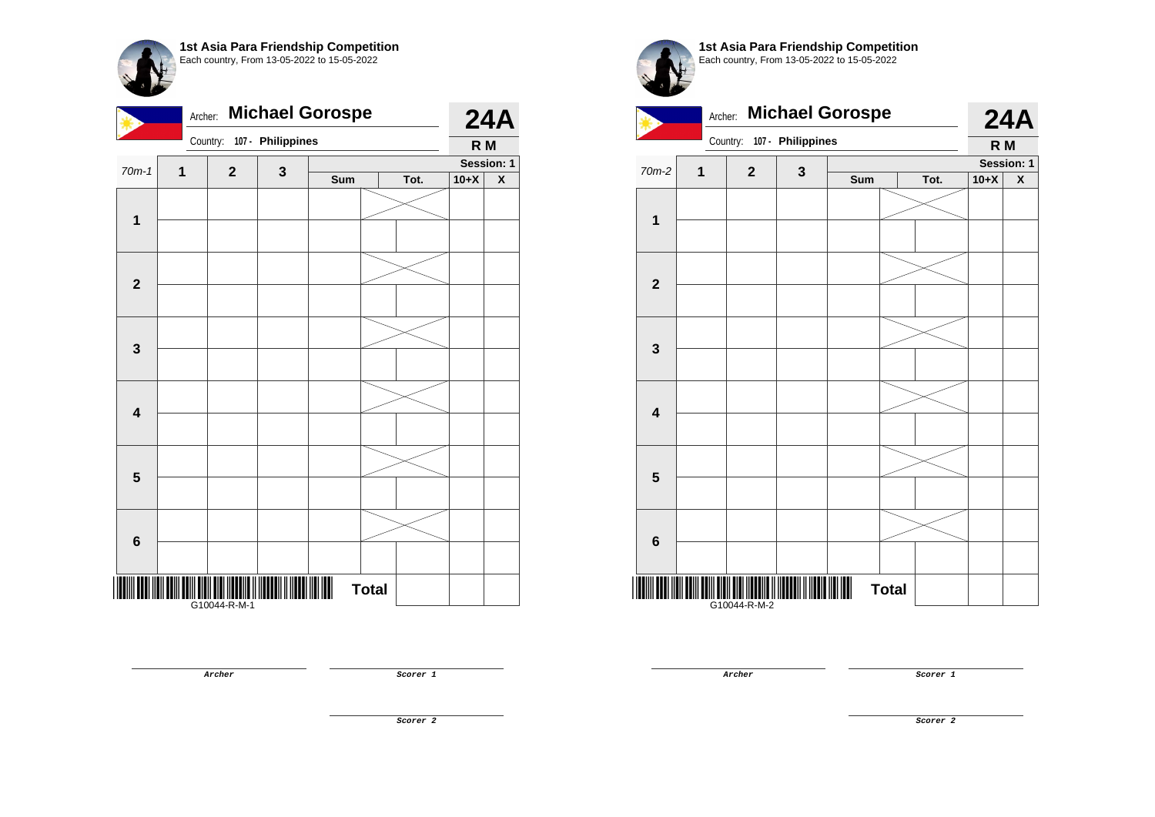|                         | <b>Michael Gorospe</b><br>Archer: |              |                   |     |              |      |        |                           |
|-------------------------|-----------------------------------|--------------|-------------------|-----|--------------|------|--------|---------------------------|
|                         |                                   | Country:     | 107 - Philippines |     |              |      | R M    |                           |
| $70m-1$                 | 1                                 | $\mathbf 2$  | 3                 |     |              |      |        | Session: 1                |
|                         |                                   |              |                   | Sum |              | Tot. | $10+X$ | $\boldsymbol{\mathsf{x}}$ |
|                         |                                   |              |                   |     |              |      |        |                           |
| 1                       |                                   |              |                   |     |              |      |        |                           |
|                         |                                   |              |                   |     |              |      |        |                           |
|                         |                                   |              |                   |     |              |      |        |                           |
| $\overline{\mathbf{2}}$ |                                   |              |                   |     |              |      |        |                           |
|                         |                                   |              |                   |     |              |      |        |                           |
|                         |                                   |              |                   |     |              |      |        |                           |
|                         |                                   |              |                   |     |              |      |        |                           |
| $\mathbf{3}$            |                                   |              |                   |     |              |      |        |                           |
|                         |                                   |              |                   |     |              |      |        |                           |
|                         |                                   |              |                   |     |              |      |        |                           |
| $\overline{\mathbf{4}}$ |                                   |              |                   |     |              |      |        |                           |
|                         |                                   |              |                   |     |              |      |        |                           |
|                         |                                   |              |                   |     |              |      |        |                           |
| $\overline{\mathbf{5}}$ |                                   |              |                   |     |              |      |        |                           |
|                         |                                   |              |                   |     |              |      |        |                           |
|                         |                                   |              |                   |     |              |      |        |                           |
|                         |                                   |              |                   |     |              |      |        |                           |
| $6\phantom{1}$          |                                   |              |                   |     |              |      |        |                           |
|                         |                                   |              |                   |     |              |      |        |                           |
|                         |                                   |              |                   |     | <b>Total</b> |      |        |                           |
|                         |                                   | G10044-R-M-1 |                   |     |              |      |        |                           |

**Archer Scorer 1** 

**1st Asia Para Friendship Competition** Each country, From 13-05-2022 to 15-05-2022

Archer: **Michael Gorospe**  Country: **107 - Philippines 24A R M**  $70m-2$  **1 2 3 Session: 1 Sum Tot. 10+X X 1 2 3 4 5 6** \*G1004-R-M-2004-R-M-2\*G10-R-M-2\*G10-R-M-2\*G10-R-M-2\*G10-R-M-2\*G10-R-M-2\*G10-R-M-2\*G10-R-M-2\*G10-R-M-2\*G10-R-M-G10044-R-M-2 **Total** 

**Archer Scorer 1** 

**Scorer 2**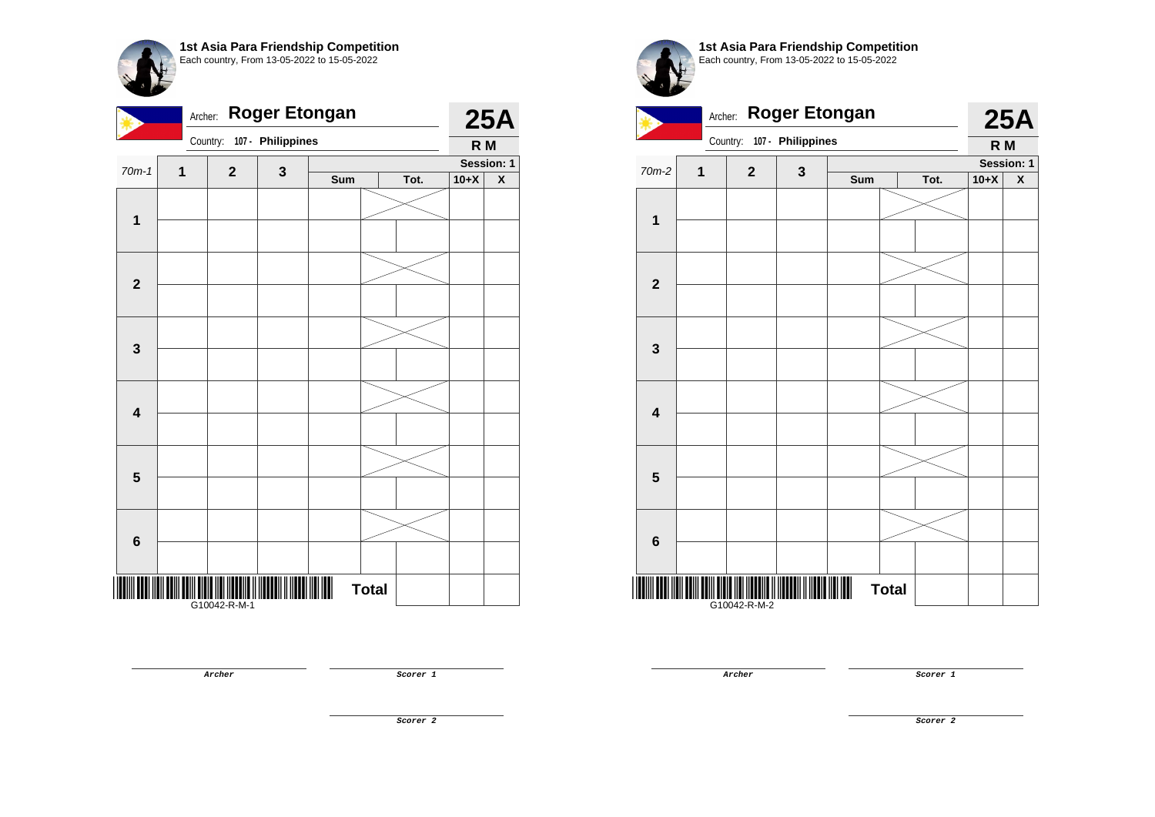| <b>Roger Etongan</b><br>Archer: |   |              |                   |     |              |      |        | <b>25A</b> |  |
|---------------------------------|---|--------------|-------------------|-----|--------------|------|--------|------------|--|
|                                 |   | Country:     | 107 - Philippines |     |              |      | R M    |            |  |
| $70m-1$                         | 1 | $\mathbf{2}$ | $\mathbf 3$       |     |              |      |        |            |  |
|                                 |   |              |                   | Sum |              | Tot. | $10+X$ | X          |  |
|                                 |   |              |                   |     |              |      |        |            |  |
| $\overline{\mathbf{1}}$         |   |              |                   |     |              |      |        |            |  |
|                                 |   |              |                   |     |              |      |        |            |  |
| $\mathbf{2}$                    |   |              |                   |     |              |      |        |            |  |
| $\mathbf{3}$                    |   |              |                   |     |              |      |        |            |  |
|                                 |   |              |                   |     |              |      |        |            |  |
| $\overline{\mathbf{4}}$         |   |              |                   |     |              |      |        |            |  |
|                                 |   |              |                   |     |              |      |        |            |  |
| $5\phantom{1}$                  |   |              |                   |     |              |      |        |            |  |
|                                 |   |              |                   |     |              |      |        |            |  |
| $6\phantom{1}$                  |   |              |                   |     |              |      |        |            |  |
|                                 |   |              |                   |     |              |      |        |            |  |
|                                 |   | G10042-R-M-1 |                   |     | <b>Total</b> |      |        |            |  |

**Archer Scorer 1** 

**1st Asia Para Friendship Competition** Each country, From 13-05-2022 to 15-05-2022



**Archer Scorer 1**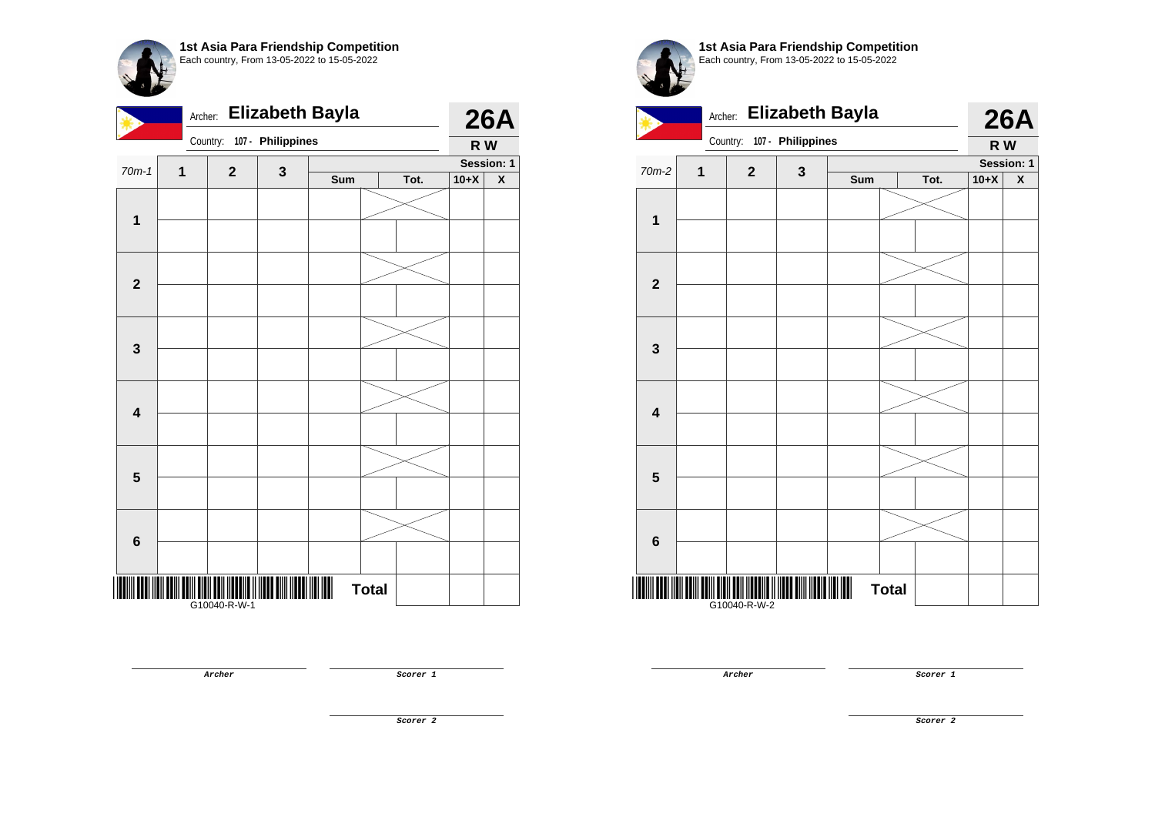|                         | <b>Elizabeth Bayla</b><br>Archer: |              |                   |     |              |      |        |                           |
|-------------------------|-----------------------------------|--------------|-------------------|-----|--------------|------|--------|---------------------------|
|                         |                                   | Country:     | 107 - Philippines |     |              |      | R W    |                           |
| $70m-1$                 | 1                                 | $\mathbf{2}$ | 3                 |     |              |      |        | Session: 1                |
|                         |                                   |              |                   | Sum |              | Tot. | $10+X$ | $\boldsymbol{\mathsf{x}}$ |
|                         |                                   |              |                   |     |              |      |        |                           |
| $\mathbf{1}$            |                                   |              |                   |     |              |      |        |                           |
|                         |                                   |              |                   |     |              |      |        |                           |
|                         |                                   |              |                   |     |              |      |        |                           |
| $\mathbf{2}$            |                                   |              |                   |     |              |      |        |                           |
|                         |                                   |              |                   |     |              |      |        |                           |
|                         |                                   |              |                   |     |              |      |        |                           |
| $\mathbf{3}$            |                                   |              |                   |     |              |      |        |                           |
|                         |                                   |              |                   |     |              |      |        |                           |
|                         |                                   |              |                   |     |              |      |        |                           |
|                         |                                   |              |                   |     |              |      |        |                           |
| $\overline{\mathbf{4}}$ |                                   |              |                   |     |              |      |        |                           |
|                         |                                   |              |                   |     |              |      |        |                           |
|                         |                                   |              |                   |     |              |      |        |                           |
| $5\phantom{1}$          |                                   |              |                   |     |              |      |        |                           |
|                         |                                   |              |                   |     |              |      |        |                           |
|                         |                                   |              |                   |     |              |      |        |                           |
| 6                       |                                   |              |                   |     |              |      |        |                           |
|                         |                                   |              |                   |     |              |      |        |                           |
|                         |                                   |              |                   |     |              |      |        |                           |
|                         |                                   | G10040-R-W-1 |                   |     | <b>Total</b> |      |        |                           |

**Archer Scorer 1** 



**1st Asia Para Friendship Competition** Each country, From 13-05-2022 to 15-05-2022



**Archer Scorer 1**